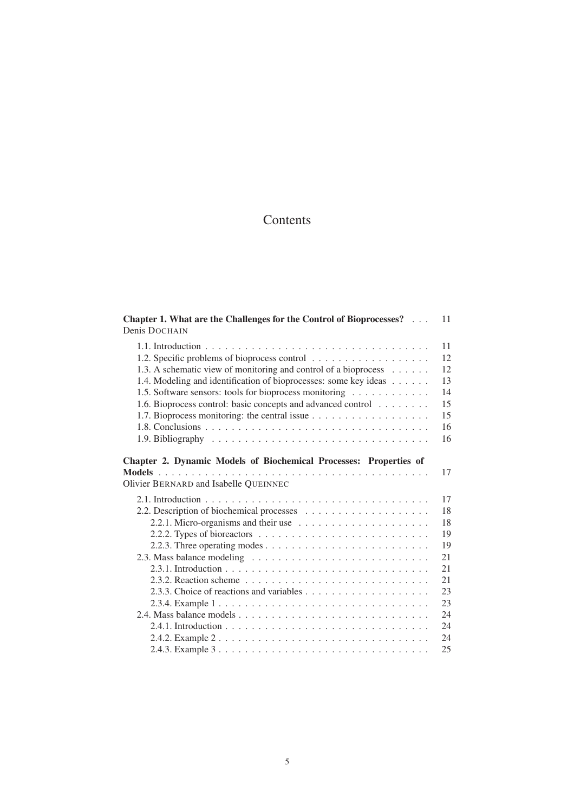# Contents

| Chapter 1. What are the Challenges for the Control of Bioprocesses?<br>11<br>Denis DOCHAIN                       |
|------------------------------------------------------------------------------------------------------------------|
| 11                                                                                                               |
| 12                                                                                                               |
| 12<br>1.3. A schematic view of monitoring and control of a bioprocess                                            |
| 13<br>1.4. Modeling and identification of bioprocesses: some key ideas                                           |
| 14<br>1.5. Software sensors: tools for bioprocess monitoring                                                     |
| 15<br>1.6. Bioprocess control: basic concepts and advanced control                                               |
| 15                                                                                                               |
| 16                                                                                                               |
| 16<br>1.9. Bibliography $\dots \dots \dots \dots \dots \dots \dots \dots \dots \dots \dots \dots \dots$          |
| Chapter 2. Dynamic Models of Biochemical Processes: Properties of<br>17<br>Olivier BERNARD and Isabelle QUEINNEC |
| 17                                                                                                               |
| 18                                                                                                               |
| 18                                                                                                               |
| 19                                                                                                               |
| 19                                                                                                               |
| 21                                                                                                               |
| 21                                                                                                               |
| 21                                                                                                               |
| 23<br>2.3.3. Choice of reactions and variables $\dots \dots \dots \dots \dots \dots \dots$                       |
| 23                                                                                                               |
| 24                                                                                                               |
| 24                                                                                                               |
| 24                                                                                                               |
| 25                                                                                                               |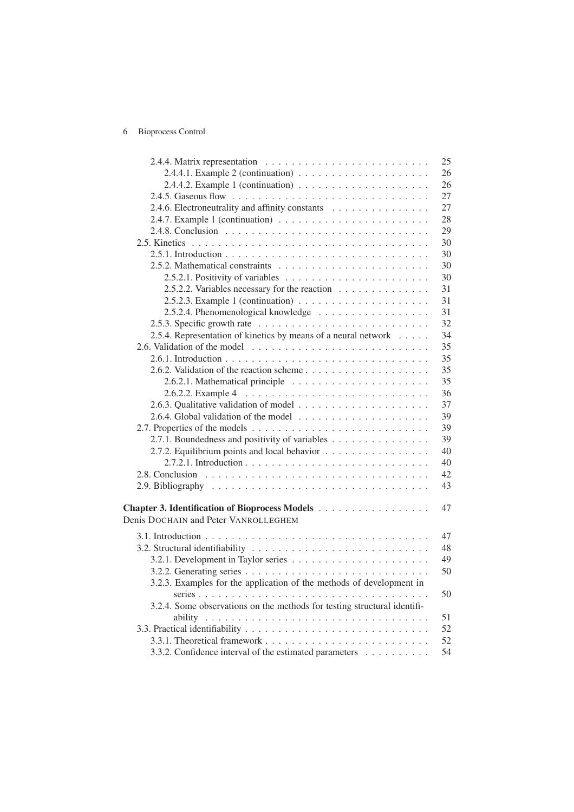# 6 Bioprocess Control

|                                                                                       | 25 |
|---------------------------------------------------------------------------------------|----|
|                                                                                       | 26 |
|                                                                                       | 26 |
|                                                                                       | 27 |
| 2.4.6. Electroneutrality and affinity constants                                       | 27 |
| 2.4.7. Example 1 (continuation) $\ldots \ldots \ldots \ldots \ldots \ldots \ldots$    | 28 |
|                                                                                       | 29 |
|                                                                                       | 30 |
|                                                                                       | 30 |
|                                                                                       | 30 |
| 2.5.2.1. Positivity of variables $\ldots \ldots \ldots \ldots \ldots \ldots \ldots$   | 30 |
| 2.5.2.2. Variables necessary for the reaction                                         | 31 |
| 2.5.2.3. Example 1 (continuation) $\ldots \ldots \ldots \ldots \ldots \ldots$         | 31 |
|                                                                                       | 31 |
| 2.5.3. Specific growth rate $\ldots \ldots \ldots \ldots \ldots \ldots \ldots \ldots$ | 32 |
| 2.5.4. Representation of kinetics by means of a neural network                        | 34 |
|                                                                                       | 35 |
|                                                                                       | 35 |
| 2.6.2. Validation of the reaction scheme                                              | 35 |
|                                                                                       | 35 |
|                                                                                       | 36 |
|                                                                                       | 37 |
|                                                                                       | 39 |
|                                                                                       | 39 |
| 2.7.1. Boundedness and positivity of variables                                        | 39 |
| 2.7.2. Equilibrium points and local behavior                                          | 40 |
|                                                                                       | 40 |
|                                                                                       | 42 |
|                                                                                       | 43 |
|                                                                                       |    |
| Chapter 3. Identification of Bioprocess Models                                        | 47 |
| Denis DOCHAIN and Peter VANROLLEGHEM                                                  |    |
|                                                                                       | 47 |
|                                                                                       | 48 |
|                                                                                       | 49 |
|                                                                                       | 50 |
| 3.2.3. Examples for the application of the methods of development in                  |    |
|                                                                                       | 50 |
| 3.2.4. Some observations on the methods for testing structural identifi-              |    |
|                                                                                       | 51 |
|                                                                                       | 52 |
|                                                                                       | 52 |
| 3.3.2. Confidence interval of the estimated parameters                                | 54 |
|                                                                                       |    |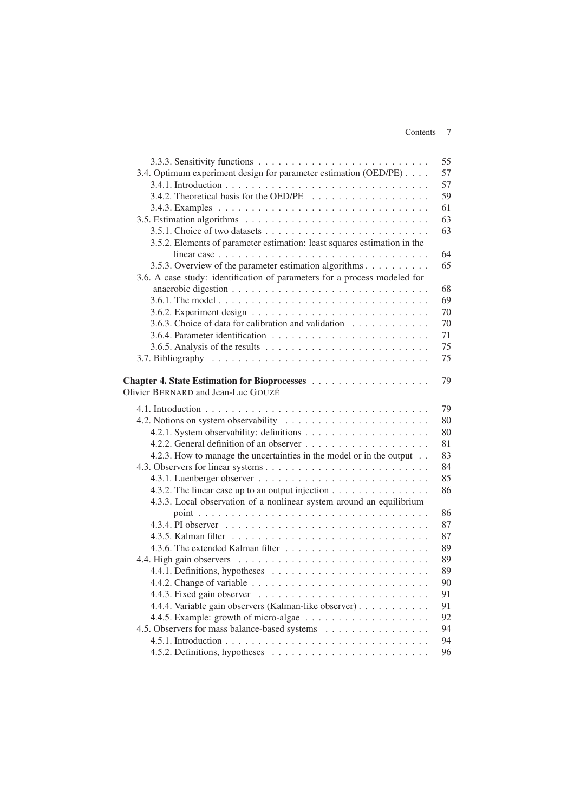### Contents 7

|                                                                                            | 55 |
|--------------------------------------------------------------------------------------------|----|
| 3.4. Optimum experiment design for parameter estimation (OED/PE)                           | 57 |
|                                                                                            | 57 |
|                                                                                            | 59 |
|                                                                                            | 61 |
|                                                                                            | 63 |
|                                                                                            | 63 |
| 3.5.2. Elements of parameter estimation: least squares estimation in the                   |    |
| linear case $\ldots \ldots \ldots \ldots \ldots \ldots \ldots \ldots \ldots \ldots \ldots$ | 64 |
| 3.5.3. Overview of the parameter estimation algorithms                                     | 65 |
| 3.6. A case study: identification of parameters for a process modeled for                  |    |
|                                                                                            | 68 |
|                                                                                            | 69 |
|                                                                                            | 70 |
| 3.6.3. Choice of data for calibration and validation                                       | 70 |
|                                                                                            | 71 |
| 3.6.5. Analysis of the results $\dots \dots \dots \dots \dots \dots \dots \dots \dots$     | 75 |
|                                                                                            | 75 |
|                                                                                            |    |
|                                                                                            | 79 |
| Olivier BERNARD and Jean-Luc GOUZÉ                                                         |    |
|                                                                                            | 79 |
|                                                                                            | 80 |
|                                                                                            | 80 |
|                                                                                            | 81 |
| 4.2.3. How to manage the uncertainties in the model or in the output                       | 83 |
|                                                                                            | 84 |
|                                                                                            | 85 |
| 4.3.2. The linear case up to an output injection                                           | 86 |
| 4.3.3. Local observation of a nonlinear system around an equilibrium                       |    |
|                                                                                            | 86 |
|                                                                                            | 87 |
|                                                                                            | 87 |
|                                                                                            | 89 |
|                                                                                            | 89 |
|                                                                                            | 89 |
|                                                                                            | 90 |
|                                                                                            | 91 |
| 4.4.4. Variable gain observers (Kalman-like observer)                                      | 91 |
|                                                                                            | 92 |
| 4.5. Observers for mass balance-based systems                                              | 94 |
|                                                                                            | 94 |
|                                                                                            | 96 |
|                                                                                            |    |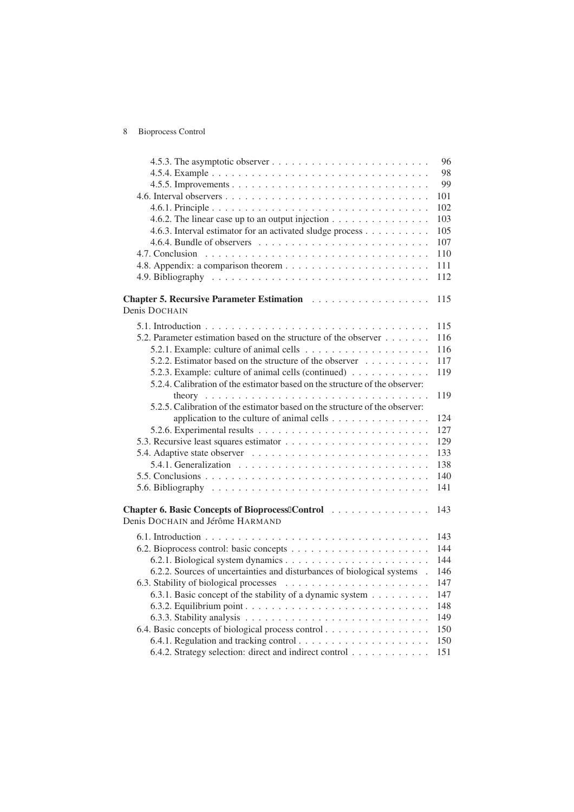# 8 Bioprocess Control

|                                                                                        | 96         |
|----------------------------------------------------------------------------------------|------------|
|                                                                                        | 98         |
|                                                                                        | 99         |
|                                                                                        | 101        |
|                                                                                        | 102        |
| 4.6.2. The linear case up to an output injection $\dots \dots \dots \dots \dots$       | 103        |
| 4.6.3. Interval estimator for an activated sludge process                              | 105        |
|                                                                                        | 107        |
|                                                                                        | 110        |
|                                                                                        | 111        |
|                                                                                        | 112        |
|                                                                                        | 115        |
| Denis DOCHAIN                                                                          |            |
|                                                                                        |            |
|                                                                                        | 115<br>116 |
| 5.2. Parameter estimation based on the structure of the observer                       |            |
|                                                                                        | 116        |
| 5.2.2. Estimator based on the structure of the observer                                | 117        |
| 5.2.3. Example: culture of animal cells (continued)                                    | 119        |
| 5.2.4. Calibration of the estimator based on the structure of the observer:            |            |
| 5.2.5. Calibration of the estimator based on the structure of the observer:            | 119        |
|                                                                                        | 124        |
| application to the culture of animal cells $\dots \dots \dots \dots \dots$             | 127        |
|                                                                                        | 129        |
|                                                                                        |            |
| 5.4.1. Generalization $\ldots \ldots \ldots \ldots \ldots \ldots \ldots \ldots \ldots$ | 133        |
|                                                                                        | 138<br>140 |
|                                                                                        |            |
|                                                                                        | 141        |
| Chapter 6. Basic Concepts of Bioprocess Control                                        | 143        |
| Denis DOCHAIN and Jérôme HARMAND                                                       |            |
|                                                                                        | 143        |
|                                                                                        | 144        |
|                                                                                        | 144        |
| 6.2.2. Sources of uncertainties and disturbances of biological systems .               | 146        |
|                                                                                        | 147        |
| 6.3.1. Basic concept of the stability of a dynamic system                              | 147        |
|                                                                                        | 148        |
|                                                                                        | 149        |
| 6.4. Basic concepts of biological process control                                      | 150        |
|                                                                                        | 150        |
| 6.4.2. Strategy selection: direct and indirect control                                 | 151        |
|                                                                                        |            |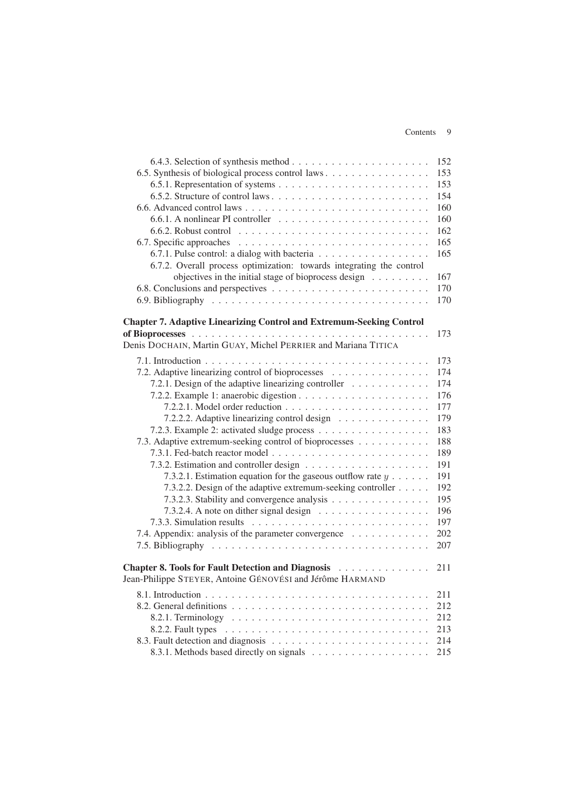#### Contents 9

|                                                                             | 152 |
|-----------------------------------------------------------------------------|-----|
| 6.5. Synthesis of biological process control laws                           | 153 |
|                                                                             | 153 |
| 6.5.2. Structure of control laws                                            | 154 |
|                                                                             | 160 |
|                                                                             | 160 |
|                                                                             | 162 |
|                                                                             | 165 |
| 6.7.1. Pulse control: a dialog with bacteria                                | 165 |
| 6.7.2. Overall process optimization: towards integrating the control        |     |
| objectives in the initial stage of bioprocess design $\ldots \ldots \ldots$ | 167 |
|                                                                             | 170 |
|                                                                             | 170 |
|                                                                             |     |
| <b>Chapter 7. Adaptive Linearizing Control and Extremum-Seeking Control</b> |     |
|                                                                             | 173 |
| Denis DOCHAIN, Martin GUAY, Michel PERRIER and Mariana TITICA               |     |
|                                                                             | 173 |
| 7.2. Adaptive linearizing control of bioprocesses                           | 174 |
| 7.2.1. Design of the adaptive linearizing controller                        | 174 |
|                                                                             | 176 |
|                                                                             | 177 |
| 7.2.2.2. Adaptive linearizing control design                                | 179 |
| 7.2.3. Example 2: activated sludge process                                  | 183 |
| 7.3. Adaptive extremum-seeking control of bioprocesses                      | 188 |
|                                                                             | 189 |
|                                                                             | 191 |
| 7.3.2.1. Estimation equation for the gaseous outflow rate $y \dots$ .       | 191 |
| 7.3.2.2. Design of the adaptive extremum-seeking controller                 | 192 |
| 7.3.2.3. Stability and convergence analysis                                 | 195 |
|                                                                             | 196 |
|                                                                             | 197 |
| 7.4. Appendix: analysis of the parameter convergence                        | 202 |
|                                                                             | 207 |
| Chapter 8. Tools for Fault Detection and Diagnosis                          | 211 |
| Jean-Philippe STEYER, Antoine GÉNOVÉSI and Jérôme HARMAND                   |     |
|                                                                             | 211 |
|                                                                             | 212 |
|                                                                             | 212 |
|                                                                             | 213 |
|                                                                             | 214 |
|                                                                             | 215 |
|                                                                             |     |